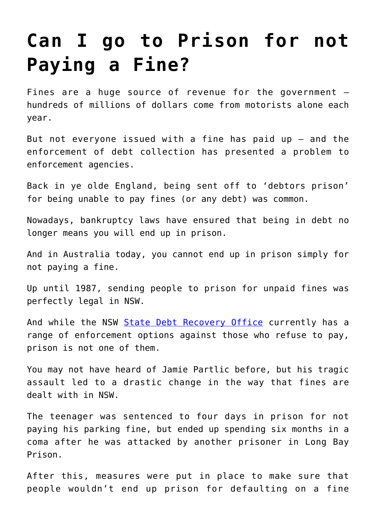## **[Can I go to Prison for not](https://downingcentrecourt.com.au/blog/can-i-go-to-prison-for-not-paying-a-fine/) [Paying a Fine?](https://downingcentrecourt.com.au/blog/can-i-go-to-prison-for-not-paying-a-fine/)**

Fines are a huge source of revenue for the government – hundreds of millions of dollars come from motorists alone each year.

But not everyone issued with a fine has paid up – and the enforcement of debt collection has presented a problem to enforcement agencies.

Back in ye olde England, being sent off to 'debtors prison' for being unable to pay fines (or any debt) was common.

Nowadays, bankruptcy laws have ensured that being in debt no longer means you will end up in prison.

And in Australia today, you cannot end up in prison simply for not paying a fine.

Up until 1987, sending people to prison for unpaid fines was perfectly legal in NSW.

And while the NSW [State Debt Recovery Office](http://www.sdro.nsw.gov.au) currently has a range of enforcement options against those who refuse to pay, prison is not one of them.

You may not have heard of Jamie Partlic before, but his tragic assault led to a drastic change in the way that fines are dealt with in NSW.

The teenager was sentenced to four days in prison for not paying his parking fine, but ended up spending six months in a coma after he was attacked by another prisoner in Long Bay Prison.

After this, measures were put in place to make sure that people wouldn't end up prison for defaulting on a fine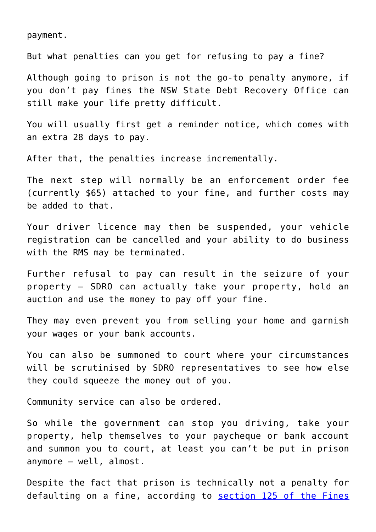payment.

But what penalties can you get for refusing to pay a fine?

Although going to prison is not the go-to penalty anymore, if you don't pay fines the NSW State Debt Recovery Office can still make your life pretty difficult.

You will usually first get a reminder notice, which comes with an extra 28 days to pay.

After that, the penalties increase incrementally.

The next step will normally be an enforcement order fee (currently \$65) attached to your fine, and further costs may be added to that.

Your driver licence may then be suspended, your vehicle registration can be cancelled and your ability to do business with the RMS may be terminated.

Further refusal to pay can result in the seizure of your property – SDRO can actually take your property, hold an auction and use the money to pay off your fine.

They may even prevent you from selling your home and garnish your wages or your bank accounts.

You can also be summoned to court where your circumstances will be scrutinised by SDRO representatives to see how else they could squeeze the money out of you.

Community service can also be ordered.

So while the government can stop you driving, take your property, help themselves to your paycheque or bank account and summon you to court, at least you can't be put in prison anymore – well, almost.

Despite the fact that prison is technically not a penalty for defaulting on a fine, according to [section 125 of the Fines](http://www.austlii.edu.au/au/legis/nsw/consol_act/fa199669/s125.html)